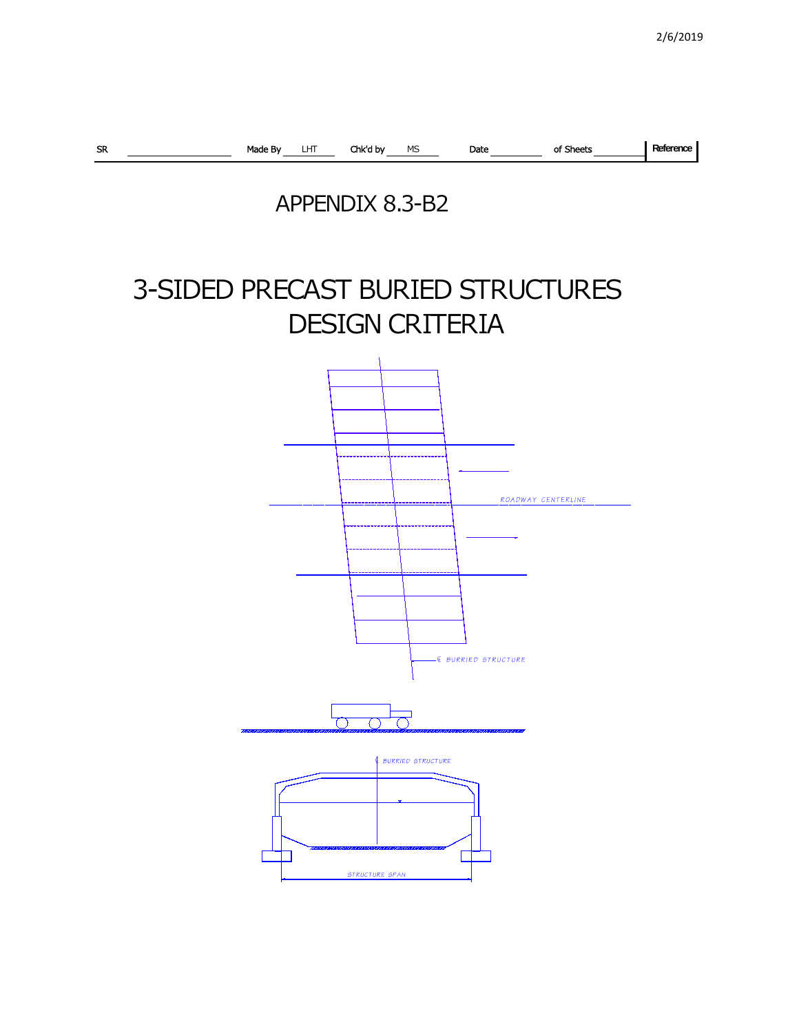

## APPENDIX 8.3-B2

## 3-SIDED PRECAST BURIED STRUCTURES DESIGN CRITERIA

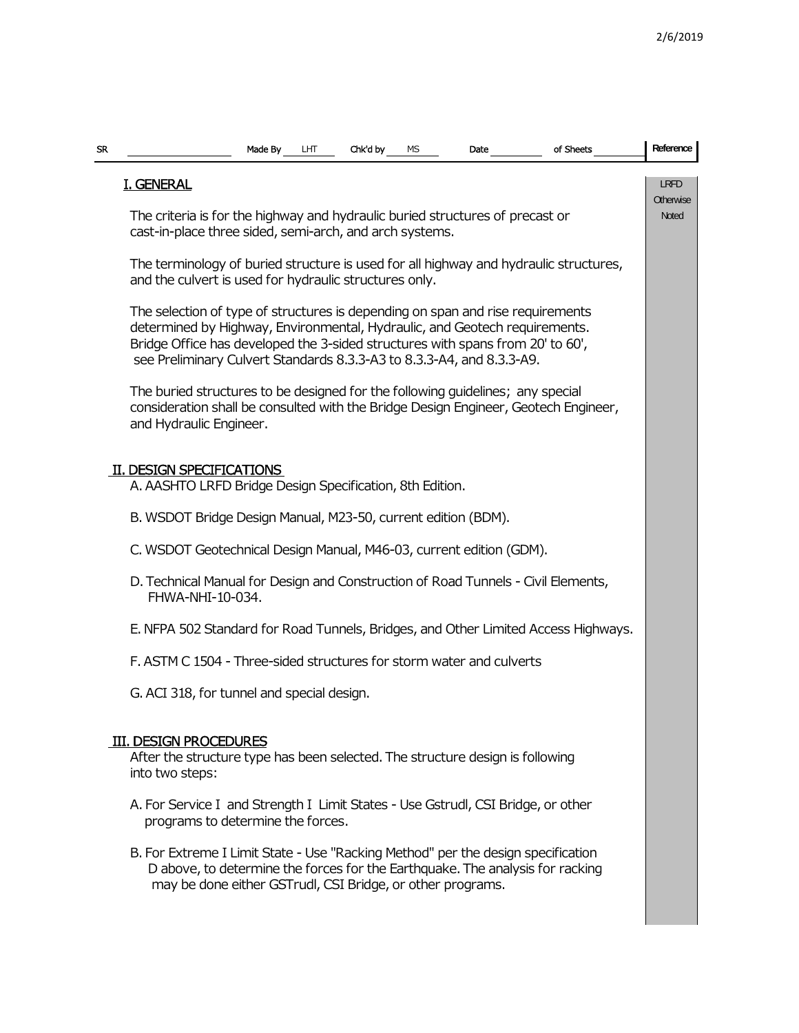| SR. |                                                                                                                                                                                                                                                                                                                         | Made By | LHT | Chk'd by | MS | Date | of Sheets                                                                             | Reference                |  |  |  |  |
|-----|-------------------------------------------------------------------------------------------------------------------------------------------------------------------------------------------------------------------------------------------------------------------------------------------------------------------------|---------|-----|----------|----|------|---------------------------------------------------------------------------------------|--------------------------|--|--|--|--|
|     | <b>I. GENERAL</b>                                                                                                                                                                                                                                                                                                       |         |     |          |    |      |                                                                                       | <b>LRFD</b><br>Otherwise |  |  |  |  |
|     | The criteria is for the highway and hydraulic buried structures of precast or<br>cast-in-place three sided, semi-arch, and arch systems.                                                                                                                                                                                |         |     |          |    |      |                                                                                       |                          |  |  |  |  |
|     | and the culvert is used for hydraulic structures only.                                                                                                                                                                                                                                                                  |         |     |          |    |      | The terminology of buried structure is used for all highway and hydraulic structures, |                          |  |  |  |  |
|     | The selection of type of structures is depending on span and rise requirements<br>determined by Highway, Environmental, Hydraulic, and Geotech requirements.<br>Bridge Office has developed the 3-sided structures with spans from 20' to 60',<br>see Preliminary Culvert Standards 8.3.3-A3 to 8.3.3-A4, and 8.3.3-A9. |         |     |          |    |      |                                                                                       |                          |  |  |  |  |
|     | The buried structures to be designed for the following guidelines; any special<br>consideration shall be consulted with the Bridge Design Engineer, Geotech Engineer,<br>and Hydraulic Engineer.                                                                                                                        |         |     |          |    |      |                                                                                       |                          |  |  |  |  |
|     | II. DESIGN SPECIFICATIONS<br>A. AASHTO LRFD Bridge Design Specification, 8th Edition.                                                                                                                                                                                                                                   |         |     |          |    |      |                                                                                       |                          |  |  |  |  |
|     | B. WSDOT Bridge Design Manual, M23-50, current edition (BDM).                                                                                                                                                                                                                                                           |         |     |          |    |      |                                                                                       |                          |  |  |  |  |
|     | C. WSDOT Geotechnical Design Manual, M46-03, current edition (GDM).                                                                                                                                                                                                                                                     |         |     |          |    |      |                                                                                       |                          |  |  |  |  |
|     | D. Technical Manual for Design and Construction of Road Tunnels - Civil Elements,<br>FHWA-NHI-10-034.                                                                                                                                                                                                                   |         |     |          |    |      |                                                                                       |                          |  |  |  |  |
|     |                                                                                                                                                                                                                                                                                                                         |         |     |          |    |      | E. NFPA 502 Standard for Road Tunnels, Bridges, and Other Limited Access Highways.    |                          |  |  |  |  |
|     | F. ASTM C 1504 - Three-sided structures for storm water and culverts                                                                                                                                                                                                                                                    |         |     |          |    |      |                                                                                       |                          |  |  |  |  |
|     | G. ACI 318, for tunnel and special design.                                                                                                                                                                                                                                                                              |         |     |          |    |      |                                                                                       |                          |  |  |  |  |
|     | <b>III. DESIGN PROCEDURES</b><br>After the structure type has been selected. The structure design is following<br>into two steps:                                                                                                                                                                                       |         |     |          |    |      |                                                                                       |                          |  |  |  |  |
|     | A. For Service I and Strength I Limit States - Use Gstrudl, CSI Bridge, or other<br>programs to determine the forces.                                                                                                                                                                                                   |         |     |          |    |      |                                                                                       |                          |  |  |  |  |
|     | B. For Extreme I Limit State - Use "Racking Method" per the design specification<br>may be done either GSTrudl, CSI Bridge, or other programs.                                                                                                                                                                          |         |     |          |    |      | D above, to determine the forces for the Earthquake. The analysis for racking         |                          |  |  |  |  |
|     |                                                                                                                                                                                                                                                                                                                         |         |     |          |    |      |                                                                                       |                          |  |  |  |  |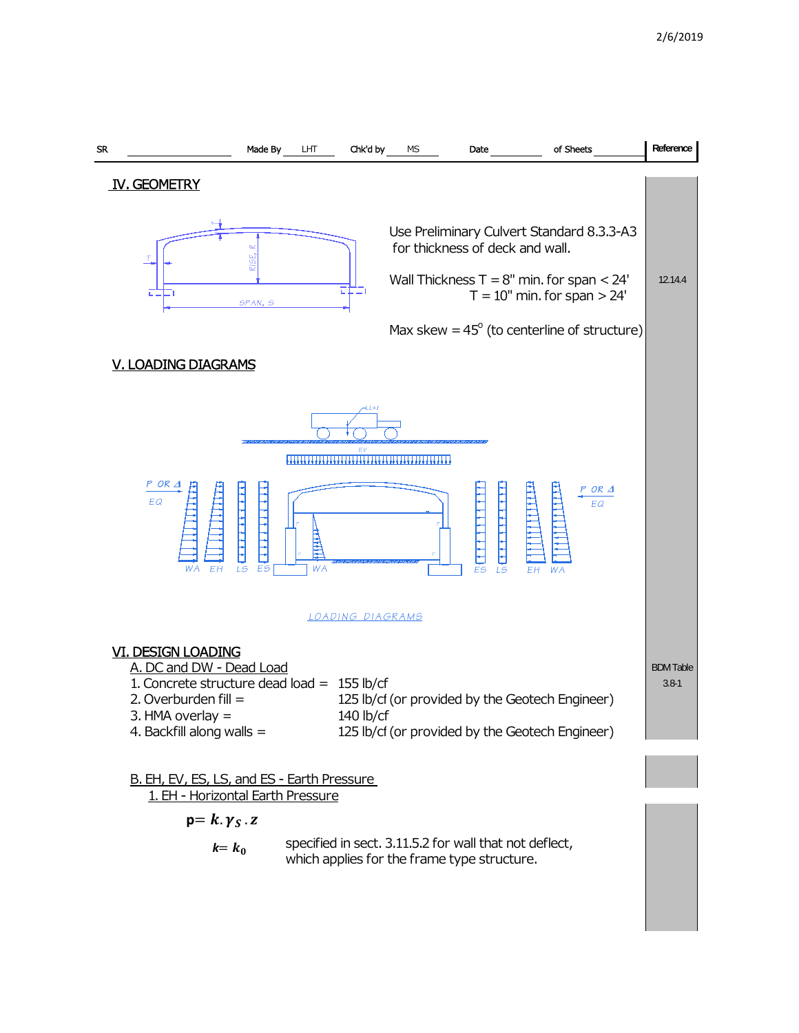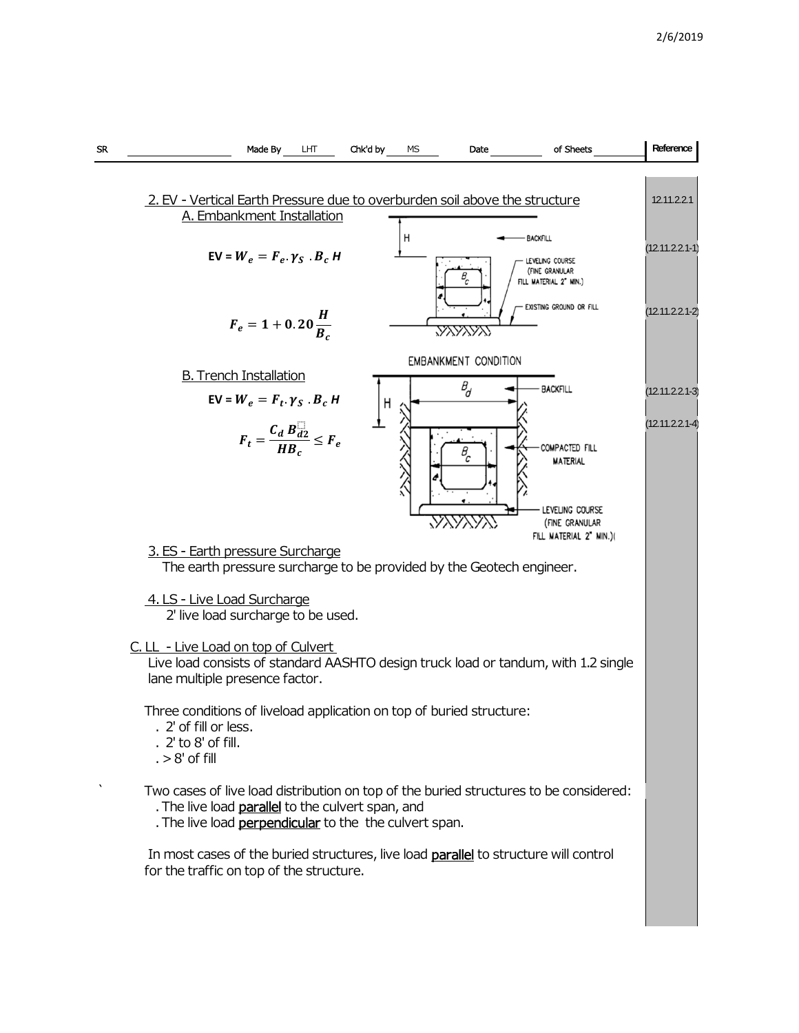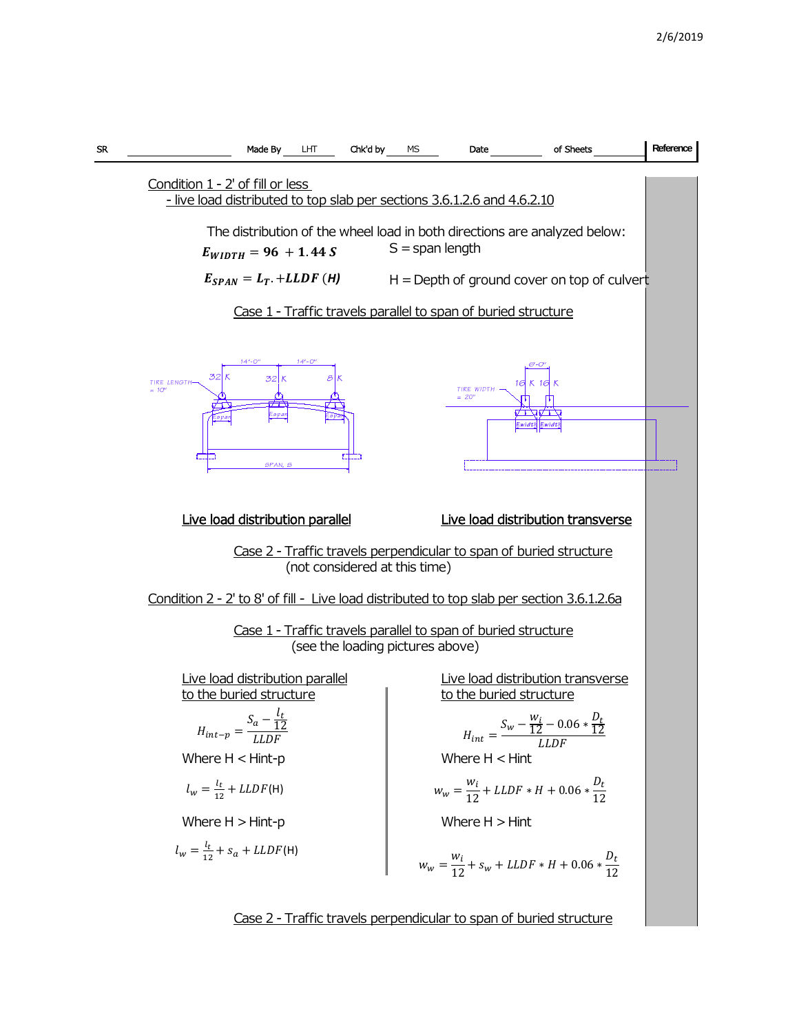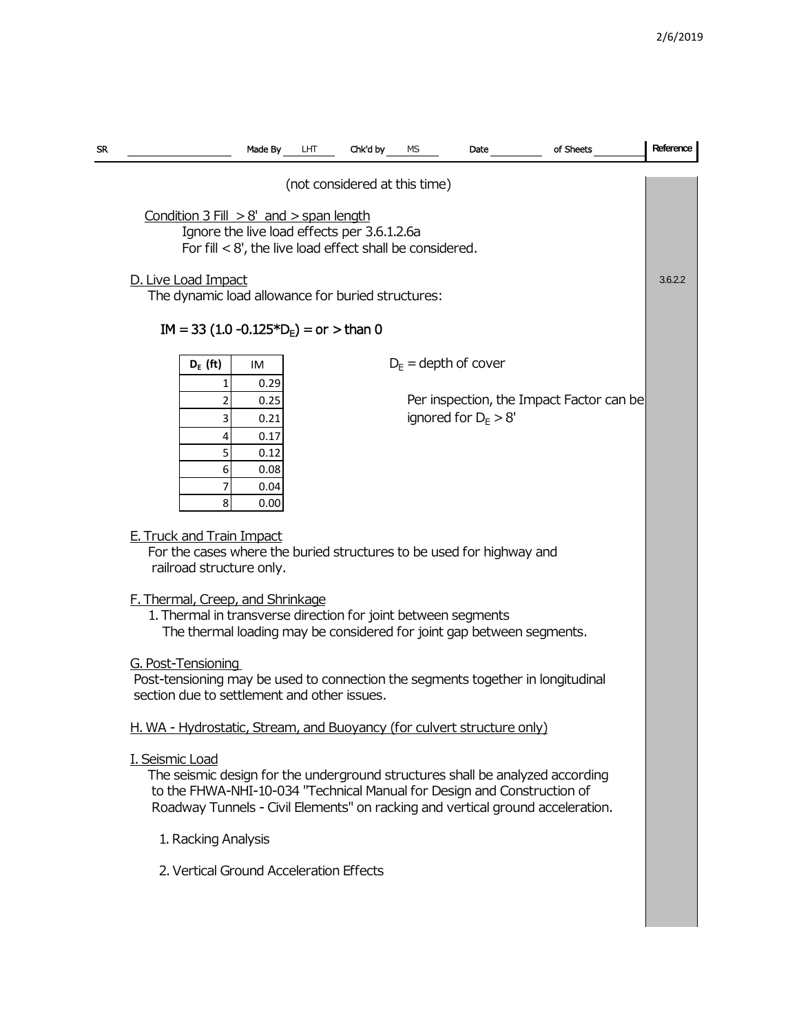| SR | Made By                                                                                                                                                                                                                                                       | Chk'd by<br>LНТ | МS | Date                   | of Sheets                                | Reference |  |  |  |  |  |  |
|----|---------------------------------------------------------------------------------------------------------------------------------------------------------------------------------------------------------------------------------------------------------------|-----------------|----|------------------------|------------------------------------------|-----------|--|--|--|--|--|--|
|    | (not considered at this time)                                                                                                                                                                                                                                 |                 |    |                        |                                          |           |  |  |  |  |  |  |
|    | Condition $3$ Fill $> 8'$ and $>$ span length<br>Ignore the live load effects per 3.6.1.2.6a<br>For fill $< 8'$ , the live load effect shall be considered.                                                                                                   |                 |    |                        |                                          |           |  |  |  |  |  |  |
|    | D. Live Load Impact<br>The dynamic load allowance for buried structures:                                                                                                                                                                                      |                 |    |                        |                                          |           |  |  |  |  |  |  |
|    | $IM = 33 (1.0 -0.125*DF) = or > than 0$                                                                                                                                                                                                                       |                 |    |                        |                                          |           |  |  |  |  |  |  |
|    | $D_{E}$ = depth of cover<br>$D_E$ (ft)<br>IM<br>0.29                                                                                                                                                                                                          |                 |    |                        |                                          |           |  |  |  |  |  |  |
|    | 0.25<br>2<br>3<br>0.21<br>0.17<br>4<br>5<br>0.12<br>6<br>0.08<br>0.04<br>7<br>8<br>0.00                                                                                                                                                                       |                 |    | ignored for $D_F > 8'$ | Per inspection, the Impact Factor can be |           |  |  |  |  |  |  |
|    | <b>E. Truck and Train Impact</b><br>For the cases where the buried structures to be used for highway and<br>railroad structure only.                                                                                                                          |                 |    |                        |                                          |           |  |  |  |  |  |  |
|    | F. Thermal, Creep, and Shrinkage<br>1. Thermal in transverse direction for joint between segments<br>The thermal loading may be considered for joint gap between segments.                                                                                    |                 |    |                        |                                          |           |  |  |  |  |  |  |
|    | G. Post-Tensioning<br>Post-tensioning may be used to connection the segments together in longitudinal<br>section due to settlement and other issues.                                                                                                          |                 |    |                        |                                          |           |  |  |  |  |  |  |
|    | H. WA - Hydrostatic, Stream, and Buoyancy (for culvert structure only)                                                                                                                                                                                        |                 |    |                        |                                          |           |  |  |  |  |  |  |
|    | I. Seismic Load<br>The seismic design for the underground structures shall be analyzed according<br>to the FHWA-NHI-10-034 "Technical Manual for Design and Construction of<br>Roadway Tunnels - Civil Elements" on racking and vertical ground acceleration. |                 |    |                        |                                          |           |  |  |  |  |  |  |
|    | 1. Racking Analysis                                                                                                                                                                                                                                           |                 |    |                        |                                          |           |  |  |  |  |  |  |
|    | 2. Vertical Ground Acceleration Effects                                                                                                                                                                                                                       |                 |    |                        |                                          |           |  |  |  |  |  |  |
|    |                                                                                                                                                                                                                                                               |                 |    |                        |                                          |           |  |  |  |  |  |  |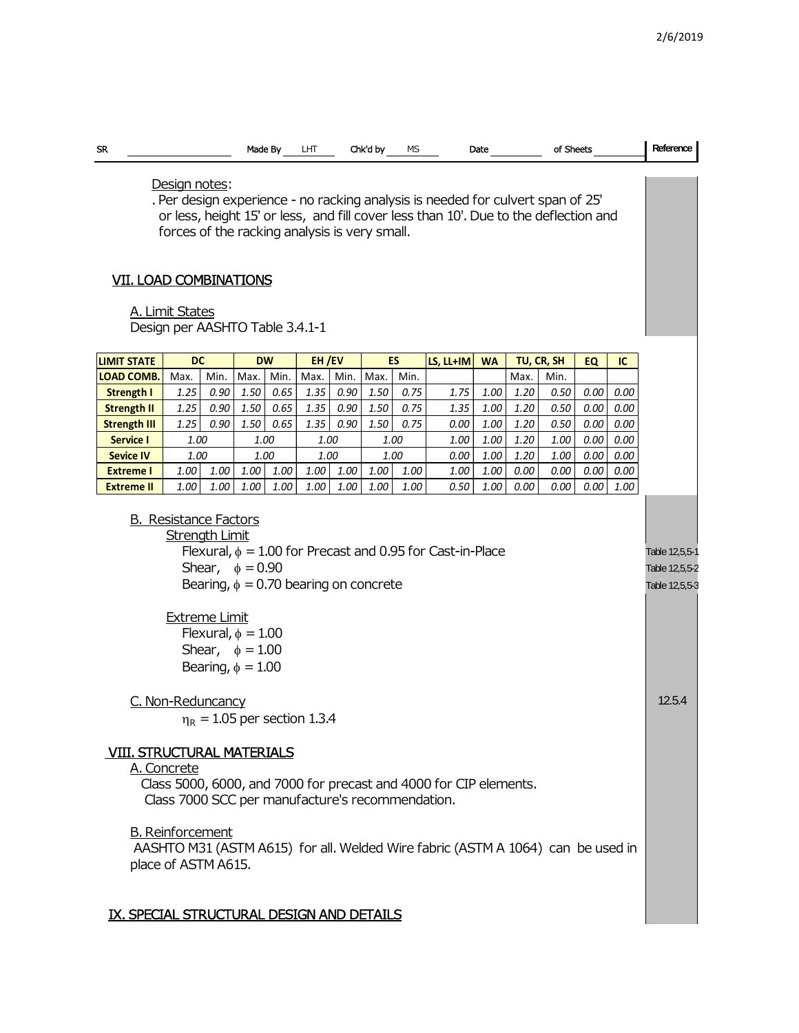| <b>SR</b>                                                                                                                                                                                                                                                                                                                                                                       |                   |      |                   | Made By  | LHT           |      | Chk'd by | МS                |              | of Sheets<br>Date                                  |              |                    |              | Reference    |  |
|---------------------------------------------------------------------------------------------------------------------------------------------------------------------------------------------------------------------------------------------------------------------------------------------------------------------------------------------------------------------------------|-------------------|------|-------------------|----------|---------------|------|----------|-------------------|--------------|----------------------------------------------------|--------------|--------------------|--------------|--------------|--|
| Design notes:<br>. Per design experience - no racking analysis is needed for culvert span of 25'<br>or less, height 15' or less, and fill cover less than 10'. Due to the deflection and<br>forces of the racking analysis is very small.<br><b>VII. LOAD COMBINATIONS</b><br>A. Limit States<br>Design per AASHTO Table 3.4.1-1                                                |                   |      |                   |          |               |      |          |                   |              |                                                    |              |                    |              |              |  |
|                                                                                                                                                                                                                                                                                                                                                                                 |                   |      |                   |          |               |      |          |                   |              |                                                    |              |                    |              |              |  |
| <b>LIMIT STATE</b><br><b>LOAD COMB.</b>                                                                                                                                                                                                                                                                                                                                         | <b>DC</b><br>Max. | Min. | <b>DW</b><br>Max. | Min.     | EH/EV<br>Max. | Min. | Max.     | <b>ES</b><br>Min. | LS, LL+IM    | <b>WA</b>                                          | Max.         | TU, CR, SH<br>Min. | EQ           | IC           |  |
| <b>Strength I</b>                                                                                                                                                                                                                                                                                                                                                               | 1.25              | 0.90 | 1.50              | 0.65     | 1.35          | 0.90 | 1.50     | 0.75              | 1.75         | 1.00                                               | 1.20         | 0.50               | 0.00         | 0.00         |  |
| <b>Strength II</b>                                                                                                                                                                                                                                                                                                                                                              | 1.25              | 0.90 | 1.50              | 0.65     | 1.35          | 0.90 | 1.50     | 0.75              | 1.35         | 1.00                                               | 1.20         | 0.50               | 0.00         | 0.00         |  |
| <b>Strength III</b>                                                                                                                                                                                                                                                                                                                                                             | 1.25              | 0.90 | 1.50              | 0.65     | 1.35          | 0.90 | 1.50     | 0.75              | 0.00         | 1.00                                               | 1.20         | 0.50               | 0.00         | 0.00         |  |
| <b>Service I</b>                                                                                                                                                                                                                                                                                                                                                                | 1.00              |      | 1.00              |          | 1.00          |      |          | 1.00              | 1.00         | 1.00                                               | 1.20         | 1.00               | 0.00         | 0.00         |  |
| <b>Sevice IV</b><br><b>Extreme I</b>                                                                                                                                                                                                                                                                                                                                            | 1.00<br>1.00      | 1.00 | 1.00<br>1.00      | $1.00\,$ | 1.00<br>1.00  | 1.00 | 1.00     | 1.00<br>1.00      | 0.00<br>1.00 | 1.00<br>1.00                                       | 1.20<br>0.00 | 1.00<br>0.00       | 0.00<br>0.00 | 0.00<br>0.00 |  |
| <b>Extreme II</b>                                                                                                                                                                                                                                                                                                                                                               | 1.00              | 1.00 | 1.00              | 1.00     | 1.00          | 1.00 | 1.00     | 1.00              | 0.50         | 1.00                                               | 0.00         | 0.00               | 0.00         | 1.00         |  |
| <b>B.</b> Resistance Factors<br><b>Strength Limit</b><br>Flexural, $\phi = 1.00$ for Precast and 0.95 for Cast-in-Place<br>Shear, $\phi = 0.90$<br>Bearing, $\phi = 0.70$ bearing on concrete<br><b>Extreme Limit</b><br>Flexural, $\phi = 1.00$<br>Shear, $\phi = 1.00$<br>Bearing, $\phi = 1.00$                                                                              |                   |      |                   |          |               |      |          |                   |              | Table 12,5,5-1<br>Table 12,5,5-2<br>Table 12,5,5-3 |              |                    |              |              |  |
| <u>C. Non-Reduncancy</u><br>$\eta_R = 1.05$ per section 1.3.4<br><b>VIII. STRUCTURAL MATERIALS</b><br>A. Concrete<br>Class 5000, 6000, and 7000 for precast and 4000 for CIP elements.<br>Class 7000 SCC per manufacture's recommendation.<br><b>B.</b> Reinforcement<br>AASHTO M31 (ASTM A615) for all. Welded Wire fabric (ASTM A 1064) can be used in<br>place of ASTM A615. |                   |      |                   |          |               |      |          |                   |              | 12.5.4                                             |              |                    |              |              |  |
| IX. SPECIAL STRUCTURAL DESIGN AND DETAILS                                                                                                                                                                                                                                                                                                                                       |                   |      |                   |          |               |      |          |                   |              |                                                    |              |                    |              |              |  |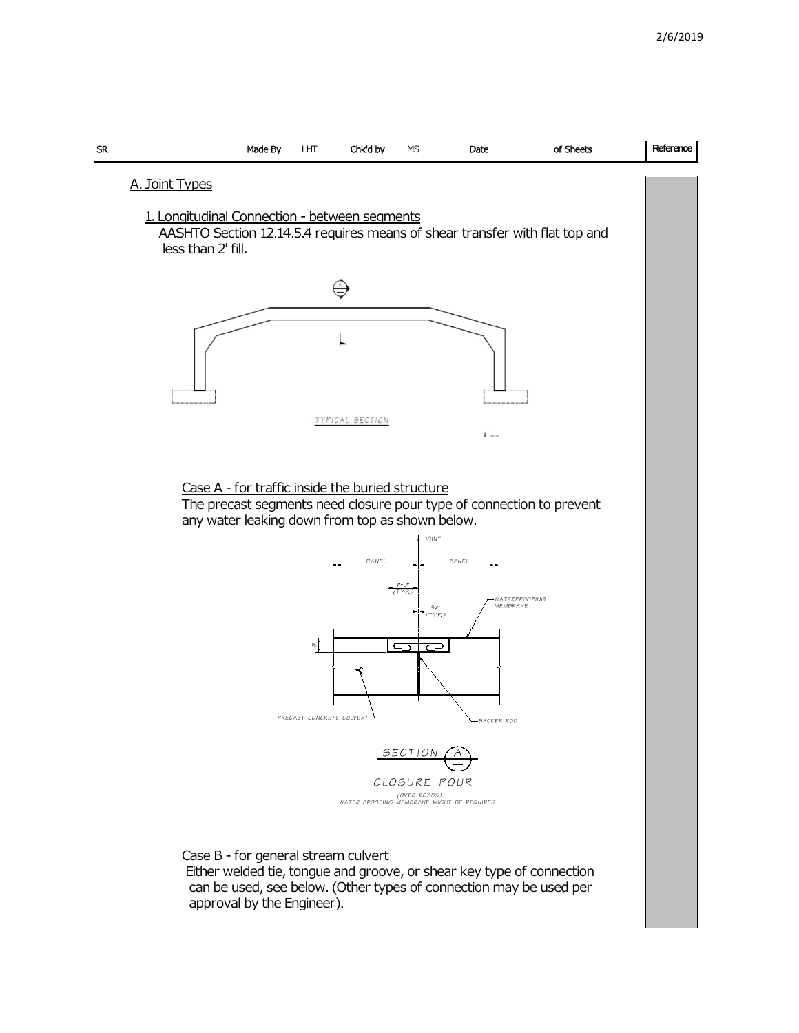

## Case B - for general stream culvert

 Either welded tie, tongue and groove, or shear key type of connection can be used, see below. (Other types of connection may be used per approval by the Engineer).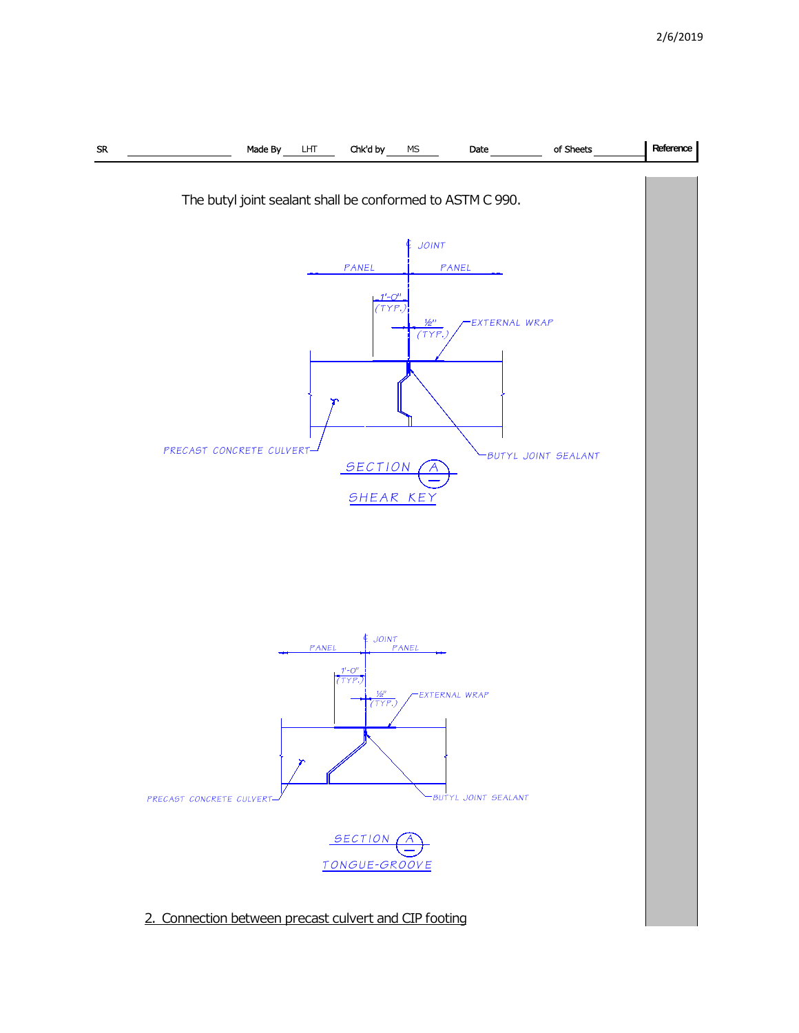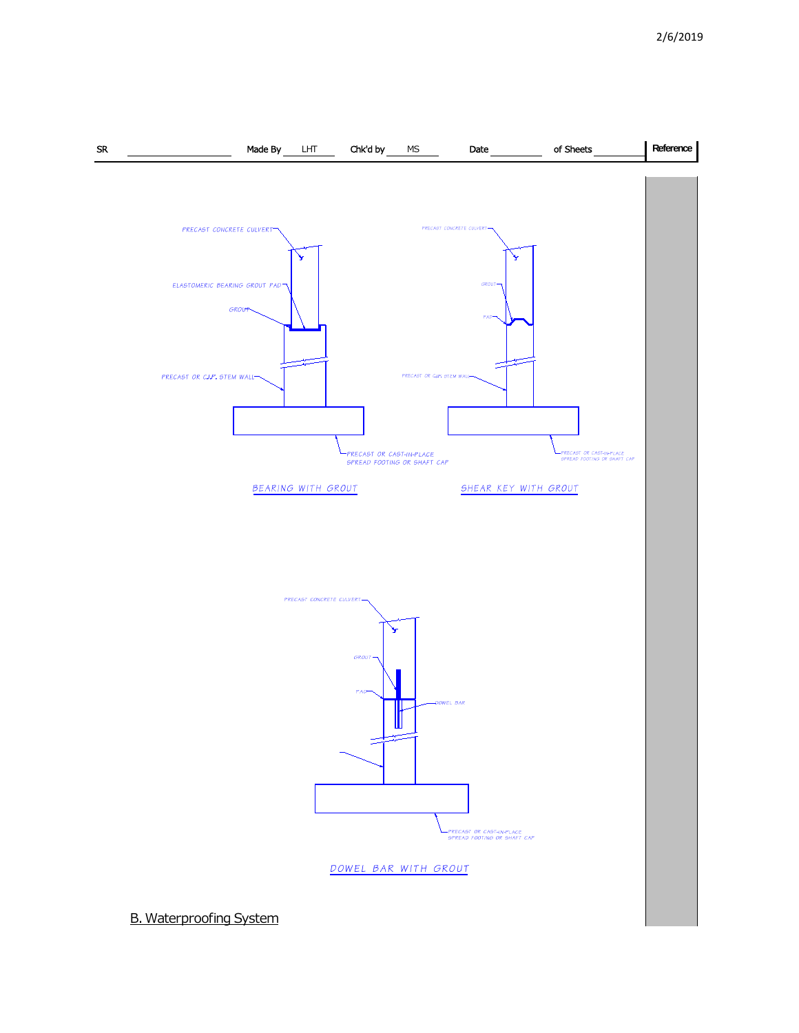

B. Waterproofing System